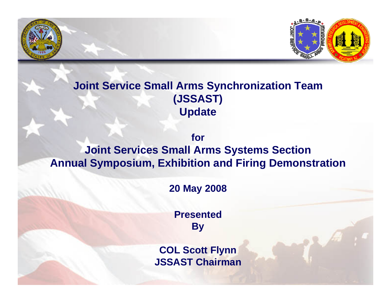

## **Joint Service Small Arms Synchronization Team (JSSAST) Update**

### **forJoint Services Small Arms Systems Section Annual Symposium, Exhibition and Firing Demonstration**

### **20 May 2008**

**Presented By**

**COL Scott Flynn JSSAST Chairman**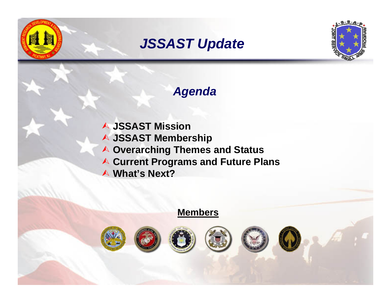# *JSSAST Update*



## *Agenda*

¿ **JSSAST Mission** ¿ **JSSAST Membership** ¿ **Overarching Themes and Status ★ Current Programs and Future Plans** ¿ **What's Next?**

### **Members**









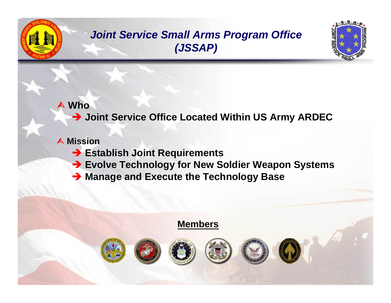

## **Joint Service Small Arms Program Office** (JSSAP)



### $\triangle$  Who

> Joint Service Office Located Within US Army ARDEC

### A Mission

- Stablish Joint Requirements
- Evolve Technology for New Soldier Weapon Systems
- > Manage and Execute the Technology Base

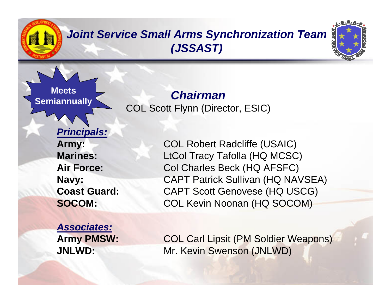# *Joint Service Small Arms Synchronization Team (JSSAST)*



**MeetsSemiannually**

# *Chairman*

COL Scott Flynn (Director, ESIC)

*Principals:* **Marines:Air Force:**

*Associates:*

**Army:** COL Robert Radcliffe (USAIC) LtCol Tracy Tafolla (HQ MCSC) Col Charles Beck (HQ AFSFC) **Navy:** CAPT Patrick Sullivan (HQ NAVSEA) **Coast Guard:** CAPT Scott Genovese (HQ USCG) **SOCOM:** COL Kevin Noonan (HQ SOCOM)

**Army PMSW:** COL Carl Lipsit (PM Soldier Weapons) **JNLWD:** Mr. Kevin Swenson (JNLWD)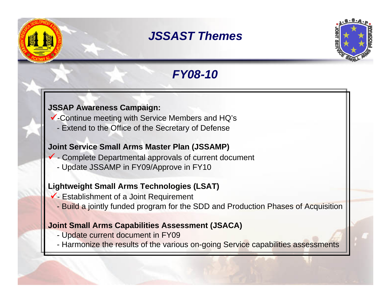## *JSSAST Themes*



# *FY08-10*

#### **JSSAP Awareness Campaign:**

- $\checkmark$ -Continue meeting with Service Members and HQ's
	- Extend to the Office of the Secretary of Defense

#### **Joint Service Small Arms Master Plan (JSSAMP)**

- $\checkmark$  Complete Departmental approvals of current document
	- Update JSSAMP in FY09/Approve in FY10

### **Lightweight Small Arms Technologies (LSAT)**

- $\checkmark$  Establishment of a Joint Requirement
	- Build a jointly funded program for the SDD and Production Phases of Acquisition

#### **Joint Small Arms Capabilities Assessment (JSACA)**

- Update current document in FY09
- Harmonize the results of the various on-going Service capabilities assessments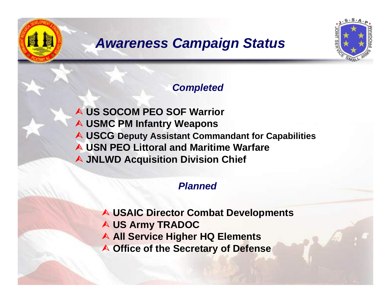# *Awareness Campaign Status*



### *Completed*

¿ **US SOCOM PEO SOF Warrior** ¿ **USMC PM Infantry Weapons** ¿ **USCG Deputy Assistant Commandant for Capabilities** ¿ **USN PEO Littoral and Maritime Warfare A JNLWD Acquisition Division Chief** 

### *Planned*

- ¿ **USAIC Director Combat Developments**
- ¿ **US Army TRADOC**
- **A All Service Higher HQ Elements**
- ¿ **Office of the Secretary of Defense**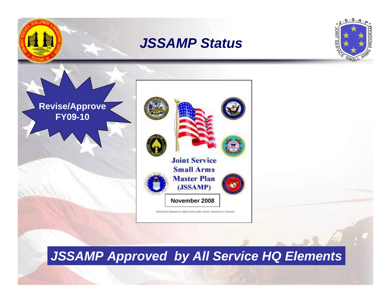





**Revise/Approve FY09-10**

Dansbutos Ratenas A: Approved for pathicodesas; date but will militarity

# *JSSAMP Approved by All Service HQ Elements*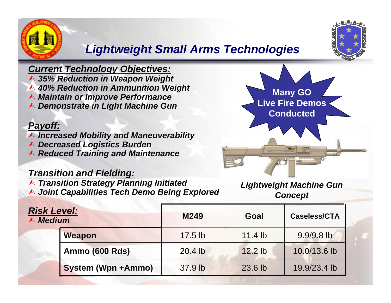

## *Lightweight Small Arms Technologies*

### *Current Technology Objectives:*

¿ *35% Reduction in Weapon Weight* ¿ *40% Reduction in Ammunition Weight*

- ¿ *Maintain or Improve Performance*
- ¿ *Demonstrate in Light Machine Gun*

#### *Payoff:*

¿ *Increased Mobility and Maneuverability*

- ¿ *Decreased Logistics Burden*
- ¿ *Reduced Training and Maintenance*

### *Transition and Fielding:*

¿ *Transition Strategy Planning Initiated* ¿ *Joint Capabilities Tech Demo Being Explored*



*Lightweight Machine Gun Concept*

| <b>Risk Level:</b><br>$\land$ Medium |                           | M249      | Goal      | <b>Caseless/CTA</b> |
|--------------------------------------|---------------------------|-----------|-----------|---------------------|
|                                      | <b>Weapon</b>             | $17.5$ lb | $11.4$ lb | 9.9/9.8 lb          |
|                                      | <b>Ammo (600 Rds)</b>     | 20.4 lb   | $12.2$ lb | 10.0/13.6 lb        |
|                                      | <b>System (Wpn +Ammo)</b> | 37.9 lb   | 23.6 lb   | 19.9/23.4 lb        |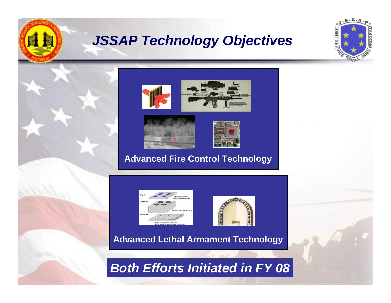

# *JSSAP Technology Objectives*





### **Advanced Fire Control Technology**





**Advanced Lethal Armament Technology**

## *Both Efforts Initiated in FY 08*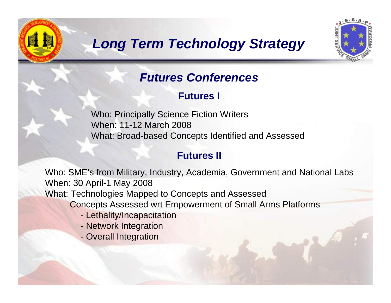



## *Futures Conferences*

**Futures I**

Who: Principally Science Fiction Writers When: 11-12 March 2008What: Broad-based Concepts Identified and Assessed

### **Futures II**

Who: SME's from Military, Industry, Academia, Government and National Labs When: 30 April-1 May 2008

What: Technologies Mapped to Concepts and Assessed

Concepts Assessed wrt Empowerment of Small Arms Platforms

- Lethality/Incapacitation
- Network Integration
- Overall Integration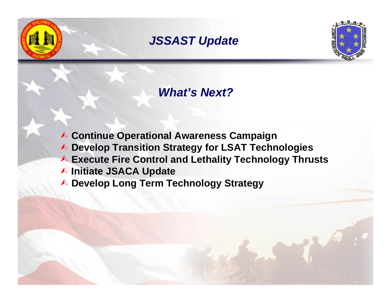*JSSAST Update*



## *What's Next?*

¿ **Continue Operational Awareness Campaign** ¿ **Develop Transition Strategy for LSAT Technologies** ¿ **Execute Fire Control and Lethality Technology Thrusts** ¿ **Initiate JSACA Update** ¿ **Develop Long Term Technology Strategy**